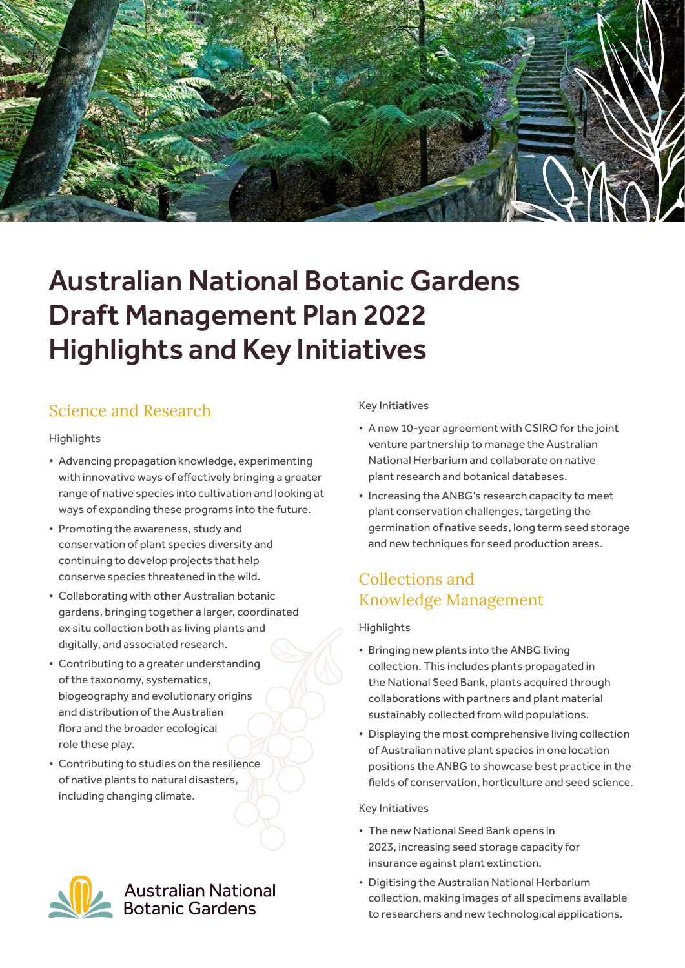

# Australian National Botanic Gardens Draft Management Plan 2022 Highlights and Key Initiatives

## Science and Research

#### **Highlights**

- Advancing propagation knowledge, experimenting with innovative ways of effectively bringing a greater range of native species into cultivation and looking at ways of expanding these programs into the future.
- Promoting the awareness, study and conservation of plant species diversity and continuing to develop projects that help conserve species threatened in the wild.
- Collaborating with other Australian botanic gardens, bringing together a larger, coordinated ex situ collection both as living plants and digitally, and associated research.
- Contributing to a greater understanding of the taxonomy, systematics, biogeography and evolutionary origins and distribution of the Australian flora and the broader ecological role these play.
- Contributing to studies on the resilience of native plants to natural disasters, including changing climate.

# Australian National<br>Botanic Gardens

### Key Initiatives

- A new 10-year agreement with CSIRO for the joint venture partnership to manage the Australian National Herbarium and collaborate on native plant research and botanical databases.
- Increasing the ANBG's research capacity to meet plant conservation challenges, targeting the germination of native seeds, long term seed storage and new techniques for seed production areas.

## Collections and Knowledge Management

### Highlights

- Bringing new plants into the ANBG living collection. This includes plants propagated in the National Seed Bank, plants acquired through collaborations with partners and plant material sustainably collected from wild populations.
- Displaying the most comprehensive living collection of Australian native plant species in one location positions the ANBG to showcase best practice in the fields of conservation, horticulture and seed science.

#### Key Initiatives

- The new National Seed Bank opens in 2023, increasing seed storage capacity for insurance against plant extinction.
- Digitising the Australian National Herbarium collection, making images of all specimens available to researchers and new technological applications.